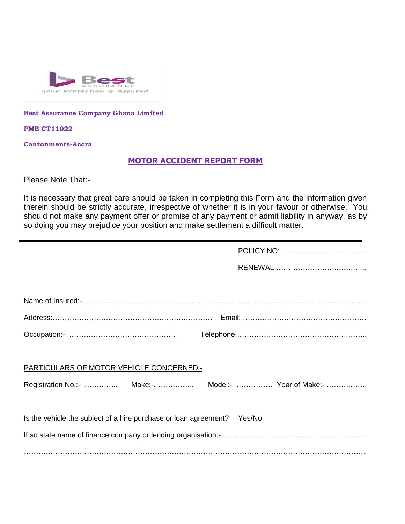

#### **Best Assurance Company Ghana Limited**

**PMB CT11022**

**Cantonments-Accra**

#### **MOTOR ACCIDENT REPORT FORM**

Please Note That:-

It is necessary that great care should be taken in completing this Form and the information given therein should be strictly accurate, irrespective of whether it is in your favour or otherwise. You should not make any payment offer or promise of any payment or admit liability in anyway, as by so doing you may prejudice your position and make settlement a difficult matter.

| PARTICULARS OF MOTOR VEHICLE CONCERNED:-                                |  |
|-------------------------------------------------------------------------|--|
| Registration No.:-  Make:- Model:-  Year of Make:-                      |  |
|                                                                         |  |
| Is the vehicle the subject of a hire purchase or loan agreement? Yes/No |  |
|                                                                         |  |
|                                                                         |  |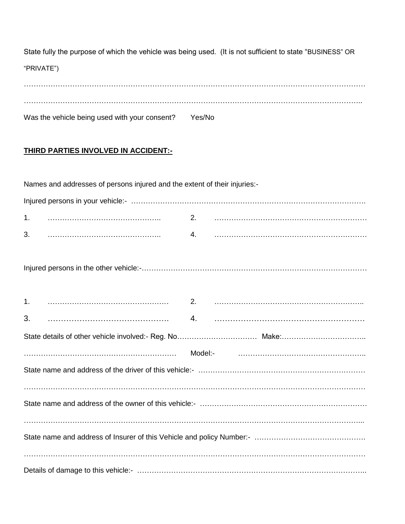State fully the purpose of which the vehicle was being used. (It is not sufficient to state "BUSINESS" OR "PRIVATE")

| Was the vehicle being used with your consent? | Yes/No |
|-----------------------------------------------|--------|

### **THIRD PARTIES INVOLVED IN ACCIDENT:-**

|    | Names and addresses of persons injured and the extent of their injuries:- |    |  |
|----|---------------------------------------------------------------------------|----|--|
|    |                                                                           |    |  |
| 1. |                                                                           |    |  |
| 3. |                                                                           | 4. |  |
|    |                                                                           |    |  |
| 1. |                                                                           |    |  |
| 3. |                                                                           |    |  |
|    |                                                                           |    |  |
|    |                                                                           |    |  |
|    |                                                                           |    |  |
|    |                                                                           |    |  |
|    |                                                                           |    |  |
|    |                                                                           |    |  |
|    |                                                                           |    |  |
|    |                                                                           |    |  |
|    |                                                                           |    |  |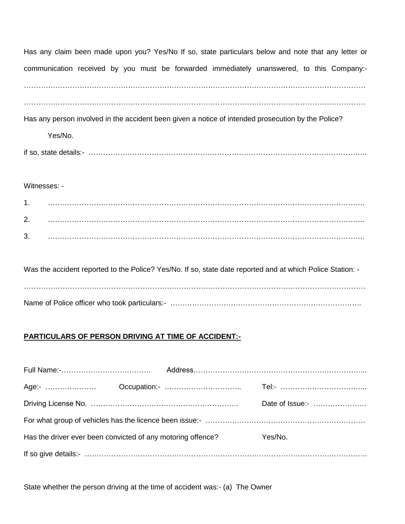Has any claim been made upon you? Yes/No If so, state particulars below and note that any letter or communication received by you must be forwarded immediately unanswered, to this Company:- . The contract of the contract of the contract of the contract of the contract of the contract of the contract of the contract of the contract of the contract of the contract of the contract of the contract of the contrac

……………………………………………………………………………………………………………………………

Has any person involved in the accident been given a notice of intended prosecution by the Police?

Yes/No.

if so, state details:- …………………………………………………………………………………………………….

Witnesses: -

| ◢<br>. .      |  |
|---------------|--|
| ာ<br><u>.</u> |  |
| 2<br>J.       |  |

Was the accident reported to the Police? Yes/No. If so, state date reported and at which Police Station: -……………………………………………………………………………………………………………………………

Name of Police officer who took particulars:- …………………………………………………………………………………………

### **PARTICULARS OF PERSON DRIVING AT TIME OF ACCIDENT:-**

|                                                             |  | Date of Issue:- |
|-------------------------------------------------------------|--|-----------------|
|                                                             |  |                 |
| Has the driver ever been convicted of any motoring offence? |  | Yes/No.         |
|                                                             |  |                 |

State whether the person driving at the time of accident was:- (a) The Owner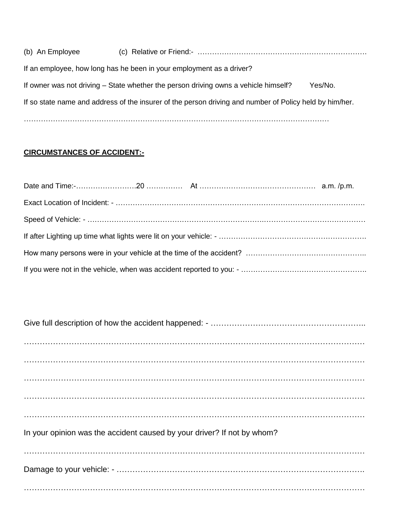| (b) An Employee |                                                                                                         |         |
|-----------------|---------------------------------------------------------------------------------------------------------|---------|
|                 | If an employee, how long has he been in your employment as a driver?                                    |         |
|                 | If owner was not driving – State whether the person driving owns a vehicle himself?                     | Yes/No. |
|                 | If so state name and address of the insurer of the person driving and number of Policy held by him/her. |         |
|                 |                                                                                                         |         |

### **CIRCUMSTANCES OF ACCIDENT:-**

| In your opinion was the accident caused by your driver? If not by whom? |
|-------------------------------------------------------------------------|
|                                                                         |
|                                                                         |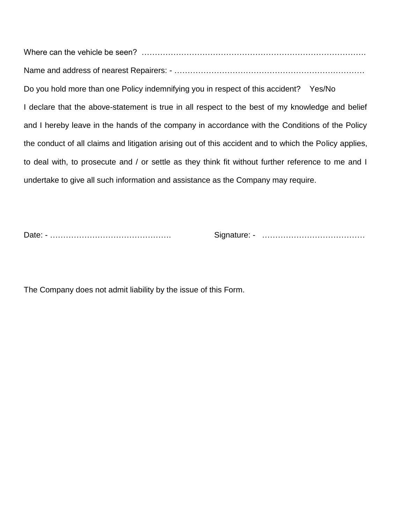Where can the vehicle be seen? …………………………………………………………………………. Name and address of nearest Repairers: - ……………………………………………………………… Do you hold more than one Policy indemnifying you in respect of this accident? Yes/No I declare that the above-statement is true in all respect to the best of my knowledge and belief and I hereby leave in the hands of the company in accordance with the Conditions of the Policy the conduct of all claims and litigation arising out of this accident and to which the Policy applies, to deal with, to prosecute and / or settle as they think fit without further reference to me and I undertake to give all such information and assistance as the Company may require.

Date: - ………………………………………. Signature: - …………………………………

The Company does not admit liability by the issue of this Form.